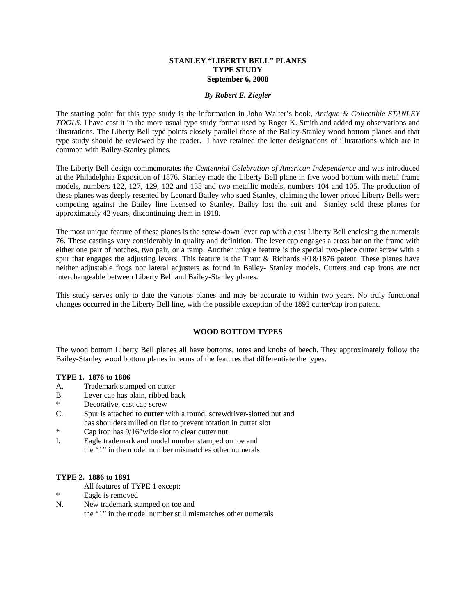#### **STANLEY "LIBERTY BELL" PLANES TYPE STUDY September 6, 2008**

#### *By Robert E. Ziegler*

The starting point for this type study is the information in John Walter's book, *Antique & Collectible STANLEY TOOLS*. I have cast it in the more usual type study format used by Roger K. Smith and added my observations and illustrations. The Liberty Bell type points closely parallel those of the Bailey-Stanley wood bottom planes and that type study should be reviewed by the reader. I have retained the letter designations of illustrations which are in common with Bailey-Stanley planes.

The Liberty Bell design commemorates *the Centennial Celebration of American Independence* and was introduced at the Philadelphia Exposition of 1876. Stanley made the Liberty Bell plane in five wood bottom with metal frame models, numbers 122, 127, 129, 132 and 135 and two metallic models, numbers 104 and 105. The production of these planes was deeply resented by Leonard Bailey who sued Stanley, claiming the lower priced Liberty Bells were competing against the Bailey line licensed to Stanley. Bailey lost the suit and Stanley sold these planes for approximately 42 years, discontinuing them in 1918.

The most unique feature of these planes is the screw-down lever cap with a cast Liberty Bell enclosing the numerals 76. These castings vary considerably in quality and definition. The lever cap engages a cross bar on the frame with either one pair of notches, two pair, or a ramp. Another unique feature is the special two-piece cutter screw with a spur that engages the adjusting levers. This feature is the Traut & Richards  $4/18/1876$  patent. These planes have neither adjustable frogs nor lateral adjusters as found in Bailey- Stanley models. Cutters and cap irons are not interchangeable between Liberty Bell and Bailey-Stanley planes.

This study serves only to date the various planes and may be accurate to within two years. No truly functional changes occurred in the Liberty Bell line, with the possible exception of the 1892 cutter/cap iron patent.

### **WOOD BOTTOM TYPES**

The wood bottom Liberty Bell planes all have bottoms, totes and knobs of beech. They approximately follow the Bailey-Stanley wood bottom planes in terms of the features that differentiate the types.

#### **TYPE 1. 1876 to 1886**

- A. Trademark stamped on cutter
- B. Lever cap has plain, ribbed back
- \* Decorative, cast cap screw
- C. Spur is attached to **cutter** with a round, screwdriver-slotted nut and has shoulders milled on flat to prevent rotation in cutter slot
- \* Cap iron has 9/16"wide slot to clear cutter nut
- I. Eagle trademark and model number stamped on toe and the "1" in the model number mismatches other numerals

#### **TYPE 2. 1886 to 1891**

- All features of TYPE 1 except:
- Eagle is removed
- N. New trademark stamped on toe and

the "1" in the model number still mismatches other numerals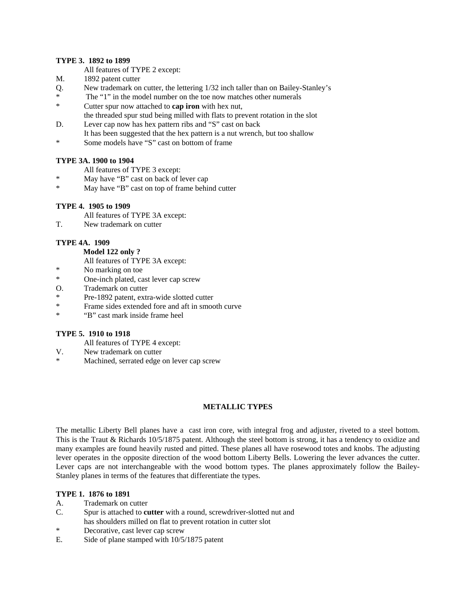#### **TYPE 3. 1892 to 1899**

All features of TYPE 2 except:

- M. 1892 patent cutter
- Q. New trademark on cutter, the lettering 1/32 inch taller than on Bailey-Stanley's
- \* The "1" in the model number on the toe now matches other numerals \* Cutter spur now attached to **cap iron** with hex nut,
- the threaded spur stud being milled with flats to prevent rotation in the slot D. Lever cap now has hex pattern ribs and "S" cast on back
- It has been suggested that the hex pattern is a nut wrench, but too shallow \* Some models have "S" cast on bottom of frame

# **TYPE 3A. 1900 to 1904**

- All features of TYPE 3 except:
- \* May have "B" cast on back of lever cap
- May have "B" cast on top of frame behind cutter

# **TYPE 4. 1905 to 1909**

- All features of TYPE 3A except:
- T. New trademark on cutter

### **TYPE 4A. 1909**

# **Model 122 only ?**

All features of TYPE 3A except:<br>No marking on too.

- No marking on toe
- \* One-inch plated, cast lever cap screw
- O. Trademark on cutter
- \* Pre-1892 patent, extra-wide slotted cutter
- \* Frame sides extended fore and aft in smooth curve
- \* "B" cast mark inside frame heel

### **TYPE 5. 1910 to 1918**

- All features of TYPE 4 except:
- V. New trademark on cutter
- Machined, serrated edge on lever cap screw

### **METALLIC TYPES**

The metallic Liberty Bell planes have a cast iron core, with integral frog and adjuster, riveted to a steel bottom. This is the Traut & Richards 10/5/1875 patent. Although the steel bottom is strong, it has a tendency to oxidize and many examples are found heavily rusted and pitted. These planes all have rosewood totes and knobs. The adjusting lever operates in the opposite direction of the wood bottom Liberty Bells. Lowering the lever advances the cutter. Lever caps are not interchangeable with the wood bottom types. The planes approximately follow the Bailey-Stanley planes in terms of the features that differentiate the types.

### **TYPE 1. 1876 to 1891**

- A. Trademark on cutter
- C. Spur is attached to **cutter** with a round, screwdriver-slotted nut and has shoulders milled on flat to prevent rotation in cutter slot
- Decorative, cast lever cap screw
- E. Side of plane stamped with 10/5/1875 patent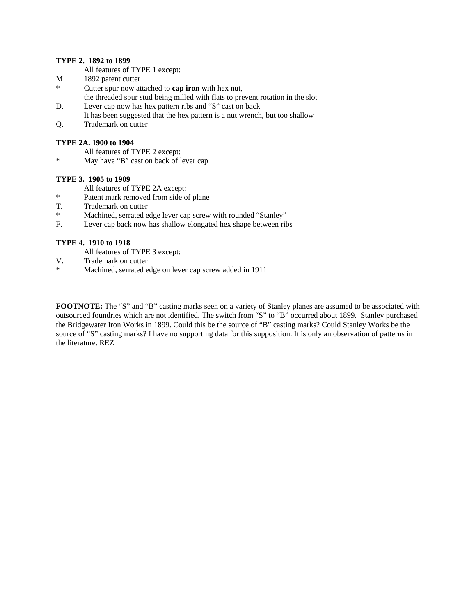# **TYPE 2. 1892 to 1899**

- All features of TYPE 1 except:
- M 1892 patent cutter
- \* Cutter spur now attached to **cap iron** with hex nut, the threaded spur stud being milled with flats to prevent rotation in the slot
- D. Lever cap now has hex pattern ribs and "S" cast on back
- It has been suggested that the hex pattern is a nut wrench, but too shallow
- Q. Trademark on cutter

# **TYPE 2A. 1900 to 1904**

- All features of TYPE 2 except:
- May have "B" cast on back of lever cap

# **TYPE 3. 1905 to 1909**

- All features of TYPE 2A except:
- \* Patent mark removed from side of plane
- T. Trademark on cutter
- \* Machined, serrated edge lever cap screw with rounded "Stanley"
- F. Lever cap back now has shallow elongated hex shape between ribs

# **TYPE 4. 1910 to 1918**

- All features of TYPE 3 except:
- V. Trademark on cutter<br>  $*$  Machined serreted a
- Machined, serrated edge on lever cap screw added in 1911

**FOOTNOTE:** The "S" and "B" casting marks seen on a variety of Stanley planes are assumed to be associated with outsourced foundries which are not identified. The switch from "S" to "B" occurred about 1899. Stanley purchased the Bridgewater Iron Works in 1899. Could this be the source of "B" casting marks? Could Stanley Works be the source of "S" casting marks? I have no supporting data for this supposition. It is only an observation of patterns in the literature. REZ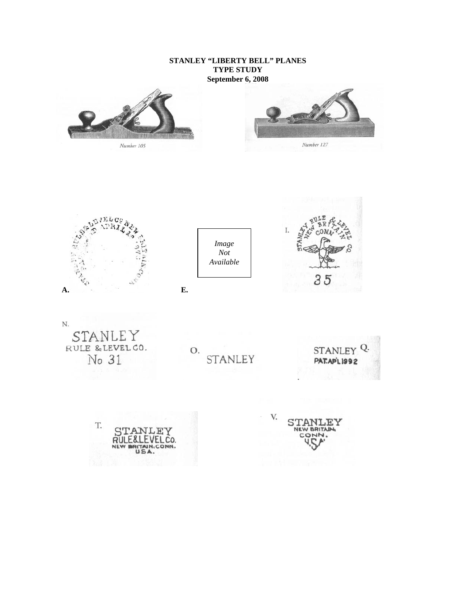# **STANLEY "LIBERTY BELL" PLANES TYPE STUDY September 6, 2008**







 **A. E.** 

*Image Not Available*

I. STAM<sub></sub> 35

N. STAN le y RULE & LEVEL CO.<br>No 31

O. STANLEY

STANLEY<sup>Q.</sup> **PAT.AP'L 1992** 

T. ANLE Υ E&1 EVELCO. RUI UN.CONN. USA.